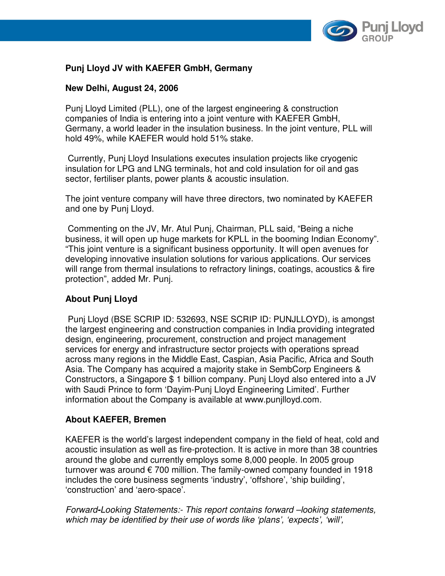

# **Punj Lloyd JV with KAEFER GmbH, Germany**

# **New Delhi, August 24, 2006**

Punj Lloyd Limited (PLL), one of the largest engineering & construction companies of India is entering into a joint venture with KAEFER GmbH, Germany, a world leader in the insulation business. In the joint venture, PLL will hold 49%, while KAEFER would hold 51% stake.

 Currently, Punj Lloyd Insulations executes insulation projects like cryogenic insulation for LPG and LNG terminals, hot and cold insulation for oil and gas sector, fertiliser plants, power plants & acoustic insulation.

The joint venture company will have three directors, two nominated by KAEFER and one by Punj Lloyd.

 Commenting on the JV, Mr. Atul Punj, Chairman, PLL said, "Being a niche business, it will open up huge markets for KPLL in the booming Indian Economy". "This joint venture is a significant business opportunity. It will open avenues for developing innovative insulation solutions for various applications. Our services will range from thermal insulations to refractory linings, coatings, acoustics & fire protection", added Mr. Punj.

### **About Punj Lloyd**

Punj Lloyd (BSE SCRIP ID: 532693, NSE SCRIP ID: PUNJLLOYD), is amongst the largest engineering and construction companies in India providing integrated design, engineering, procurement, construction and project management services for energy and infrastructure sector projects with operations spread across many regions in the Middle East, Caspian, Asia Pacific, Africa and South Asia. The Company has acquired a majority stake in SembCorp Engineers & Constructors, a Singapore \$ 1 billion company. Punj Lloyd also entered into a JV with Saudi Prince to form 'Dayim-Punj Lloyd Engineering Limited'. Further information about the Company is available at www.punjlloyd.com.

### **About KAEFER, Bremen**

KAEFER is the world's largest independent company in the field of heat, cold and acoustic insulation as well as fire-protection. It is active in more than 38 countries around the globe and currently employs some 8,000 people. In 2005 group turnover was around  $\epsilon$  700 million. The family-owned company founded in 1918 includes the core business segments 'industry', 'offshore', 'ship building', 'construction' and 'aero-space'.

Forward**-**Looking Statements:- This report contains forward –looking statements, which may be identified by their use of words like 'plans', 'expects', 'will',